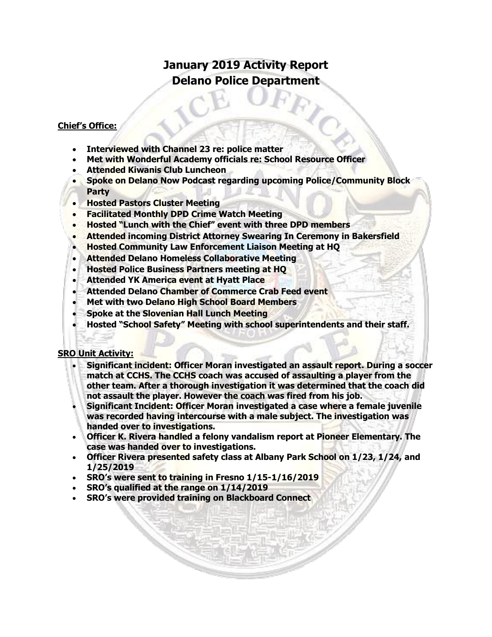# **January 2019 Activity Report Delano Police Department**

## **Chief's Office:**

- **Interviewed with Channel 23 re: police matter**
- **Met with Wonderful Academy officials re: School Resource Officer**
- **Attended Kiwanis Club Luncheon**
- **Spoke on Delano Now Podcast regarding upcoming Police/Community Block Party**
- **Hosted Pastors Cluster Meeting**
- **Facilitated Monthly DPD Crime Watch Meeting**
- **Hosted "Lunch with the Chief" event with three DPD members**
- **Attended incoming District Attorney Swearing In Ceremony in Bakersfield**
- **Hosted Community Law Enforcement Liaison Meeting at HQ**
- **Attended Delano Homeless Collaborative Meeting**
- **Hosted Police Business Partners meeting at HQ**
- **Attended YK America event at Hyatt Place**
- **Attended Delano Chamber of Commerce Crab Feed event**
- **Met with two Delano High School Board Members**
- **Spoke at the Slovenian Hall Lunch Meeting**
- **Hosted "School Safety" Meeting with school superintendents and their staff.**

### **SRO Unit Activity:**

- **Significant incident: Officer Moran investigated an assault report. During a soccer match at CCHS. The CCHS coach was accused of assaulting a player from the other team. After a thorough investigation it was determined that the coach did not assault the player. However the coach was fired from his job.**
- **Significant Incident: Officer Moran investigated a case where a female juvenile was recorded having intercourse with a male subject. The investigation was handed over to investigations.**
- **Officer K. Rivera handled a felony vandalism report at Pioneer Elementary. The case was handed over to investigations.**
- **Officer Rivera presented safety class at Albany Park School on 1/23, 1/24, and 1/25/2019**
- **SRO's were sent to training in Fresno 1/15-1/16/2019**
- **SRO's qualified at the range on 1/14/2019**
- **SRO's were provided training on Blackboard Connect**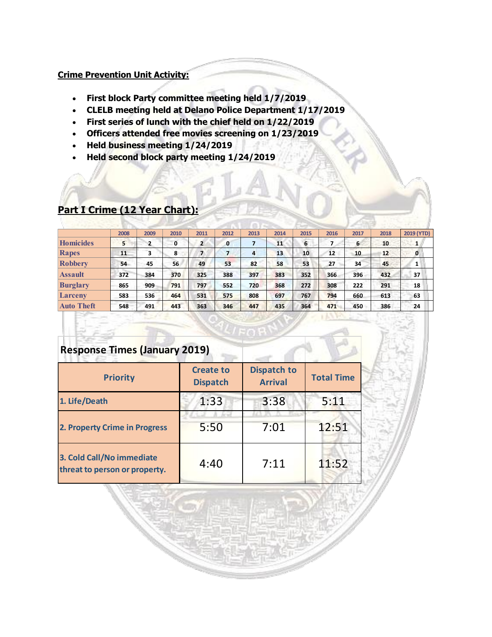#### **Crime Prevention Unit Activity:**

- **First block Party committee meeting held 1/7/2019**
- **CLELB meeting held at Delano Police Department 1/17/2019**
- **First series of lunch with the chief held on 1/22/2019**
- **Officers attended free movies screening on 1/23/2019**
- **Held business meeting 1/24/2019**
- **Held second block party meeting 1/24/2019**

|                   | 2008 | 2009 | 2010 | 2011           | 2012         | 2013 | 2014 | 2015 | 2016 | 2017 | 2018 | 2019 (YTD)   |
|-------------------|------|------|------|----------------|--------------|------|------|------|------|------|------|--------------|
| <b>Homicides</b>  | 5    |      | 0    | $\overline{2}$ | $\mathbf{0}$ |      | 11   | 6    |      | 6    | 10   | ш.           |
| <b>Rapes</b>      | 11   | 3    | 8    | $\overline{7}$ | 7            | 4    | 13   | 10   | 12   | 10   | 12   | $\mathbf{0}$ |
| <b>Robbery</b>    | 54   | 45   | 56   | 49             | 53           | 82   | 58   | 53   | 27   | 34   | 45   | Т.           |
| <b>Assault</b>    | 372  | 384  | 370  | 325            | 388          | 397  | 383  | 352  | 366  | 396  | 432  | 37           |
| <b>Burglary</b>   | 865  | 909  | 791  | 797            | 552          | 720  | 368  | 272  | 308  | 222  | 291  | 18           |
| Larceny           | 583  | 536  | 464  | 531            | 575          | 808  | 697  | 767  | 794  | 660  | 613  | 63           |
| <b>Auto Theft</b> | 548  | 491  | 443  | 363            | 346          | 447  | 435  | 364  | 471  | 450  | 386  | 24           |

## **Part I Crime (12 Year Chart):**

# **Response Times (January 2019) Priority Create to Dispatch Dispatch to Arrival Total Time 1. Life/Death 1:33 3:38 5:11 2. Property Crime in Progress 8. 5:50 7:01 12:51 3. Cold Call/No immediate**  threat to person or property. 4:40 7:11 11:52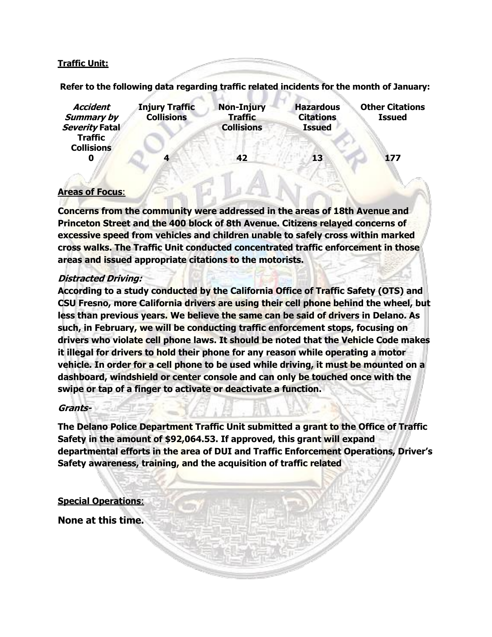### **Traffic Unit:**

**Refer to the following data regarding traffic related incidents for the month of January:** 

| <b>Accident</b><br><b>Summary by</b><br>Severity Fatal | <b>Injury Traffic</b><br><b>Collisions</b> | <b>Non-Injury</b><br><b>Traffic</b><br><b>Collisions</b> | <b>Hazardous</b><br><b>Citations</b><br><b>Issued</b> | <b>Other Citations</b><br><b>Issued</b> |
|--------------------------------------------------------|--------------------------------------------|----------------------------------------------------------|-------------------------------------------------------|-----------------------------------------|
| <b>Traffic</b><br><b>Collisions</b><br>0               |                                            | 42                                                       | 13                                                    | 177                                     |

### **Areas of Focus**:

**Concerns from the community were addressed in the areas of 18th Avenue and Princeton Street and the 400 block of 8th Avenue. Citizens relayed concerns of excessive speed from vehicles and children unable to safely cross within marked cross walks. The Traffic Unit conducted concentrated traffic enforcement in those areas and issued appropriate citations to the motorists.** 

#### **Distracted Driving:**

**According to a study conducted by the California Office of Traffic Safety (OTS) and CSU Fresno, more California drivers are using their cell phone behind the wheel, but less than previous years. We believe the same can be said of drivers in Delano. As such, in February, we will be conducting traffic enforcement stops, focusing on drivers who violate cell phone laws. It should be noted that the Vehicle Code makes it illegal for drivers to hold their phone for any reason while operating a motor vehicle. In order for a cell phone to be used while driving, it must be mounted on a dashboard, windshield or center console and can only be touched once with the swipe or tap of a finger to activate or deactivate a function.** 

#### **Grants-**

**The Delano Police Department Traffic Unit submitted a grant to the Office of Traffic Safety in the amount of \$92,064.53. If approved, this grant will expand departmental efforts in the area of DUI and Traffic Enforcement Operations, Driver's Safety awareness, training, and the acquisition of traffic related**

#### **Special Operations**:

**None at this time.**